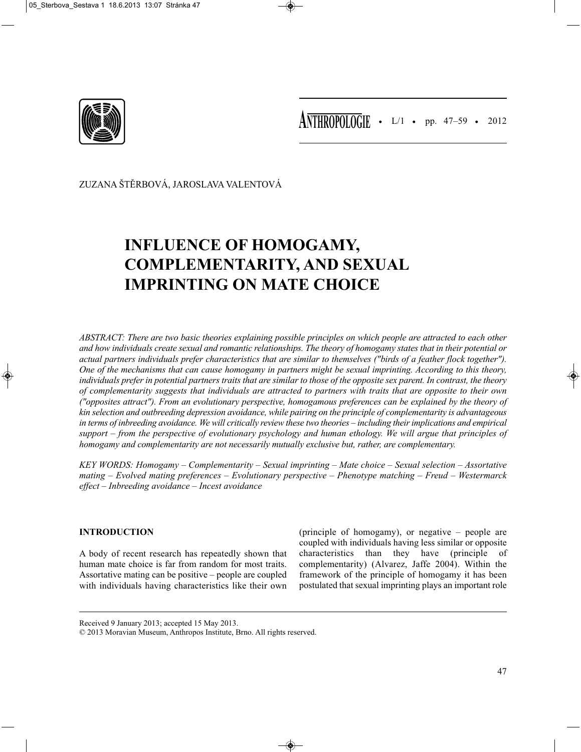

• L/1 • pp. 47–59 • 2012 **ANTHROPOLOGIE**

ZUZANA ŠTĚRBOVÁ, JAROSLAVA VALENTOVÁ

# **INFLUENCE OF HOMOGAMY, COMPLEMENTARITY, AND SEXUAL IMPRINTING ON MATE CHOICE**

*ABSTRACT: There are two basic theories explaining possible principles on which people are attracted to each other and how individuals create sexual and romantic relationships. The theory of homogamy states that in their potential or actual partners individuals prefer characteristics that are similar to themselves ("birds of a feather flock together"). One of the mechanisms that can cause homogamy in partners might be sexual imprinting. According to this theory, individuals prefer in potential partners traits that are similar to those of the opposite sex parent. In contrast, the theory of complementarity suggests that individuals are attracted to partners with traits that are opposite to their own ("opposites attract"). From an evolutionary perspective, homogamous preferences can be explained by the theory of kin selection and outbreeding depression avoidance, while pairing on the principle of complementarity is advantageous in terms of inbreeding avoidance. We will critically review these two theories – including their implications and empirical support – from the perspective of evolutionary psychology and human ethology. We will argue that principles of homogamy and complementarity are not necessarily mutually exclusive but, rather, are complementary.*

*KEY WORDS: Homogamy – Complementarity – Sexual imprinting – Mate choice – Sexual selection – Assortative mating – Evolved mating preferences – Evolutionary perspective – Phenotype matching – Freud – Westermarck effect – Inbreeding avoidance – Incest avoidance*

## **INTRODUCTION**

A body of recent research has repeatedly shown that human mate choice is far from random for most traits. Assortative mating can be positive – people are coupled with individuals having characteristics like their own

(principle of homogamy), or negative – people are coupled with individuals having less similar or opposite characteristics than they have (principle of complementarity) (Alvarez, Jaffe 2004). Within the framework of the principle of homogamy it has been postulated that sexual imprinting plays an important role

Received 9 January 2013; accepted 15 May 2013.

<sup>© 2013</sup> Moravian Museum, Anthropos Institute, Brno. All rights reserved.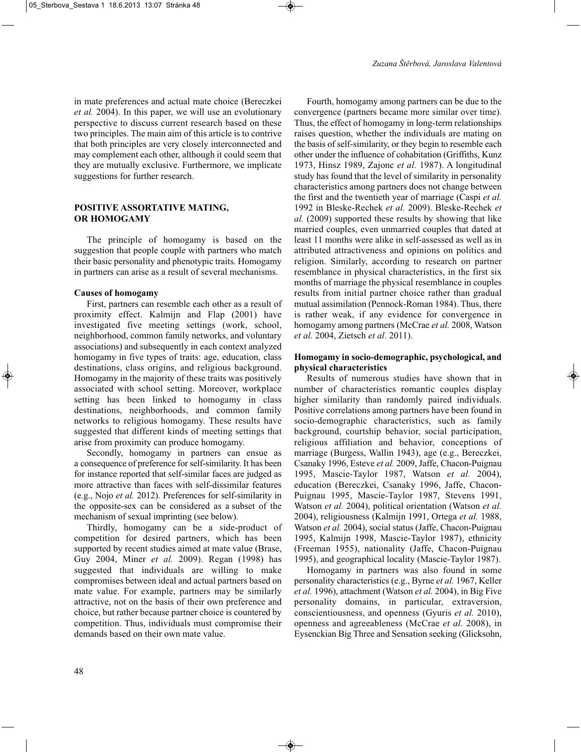in mate preferences and actual mate choice (Bereczkei *et al.* 2004). In this paper, we will use an evolutionary perspective to discuss current research based on these two principles. The main aim of this article is to contrive that both principles are very closely interconnected and may complement each other, although it could seem that they are mutually exclusive. Furthermore, we implicate suggestions for further research.

#### **POSITIVE ASSORTATIVE MATING, OR HOMOGAMY**

The principle of homogamy is based on the suggestion that people couple with partners who match their basic personality and phenotypic traits. Homogamy in partners can arise as a result of several mechanisms.

#### **Causes of homogamy**

First, partners can resemble each other as a result of proximity effect. Kalmijn and Flap (2001) have investigated five meeting settings (work, school, neighborhood, common family networks, and voluntary associations) and subsequently in each context analyzed homogamy in five types of traits: age, education, class destinations, class origins, and religious background. Homogamy in the majority of these traits was positively associated with school setting. Moreover, workplace setting has been linked to homogamy in class destinations, neighborhoods, and common family networks to religious homogamy. These results have suggested that different kinds of meeting settings that arise from proximity can produce homogamy.

Secondly, homogamy in partners can ensue as a consequence of preference for self-similarity. It has been for instance reported that self-similar faces are judged as more attractive than faces with self-dissimilar features (e.g., Nojo *et al.* 2012). Preferences for self-similarity in the opposite-sex can be considered as a subset of the mechanism of sexual imprinting (see below).

Thirdly, homogamy can be a side-product of competition for desired partners, which has been supported by recent studies aimed at mate value (Brase, Guy 2004, Miner *et al.* 2009). Regan (1998) has suggested that individuals are willing to make compromises between ideal and actual partners based on mate value. For example, partners may be similarly attractive, not on the basis of their own preference and choice, but rather because partner choice is countered by competition. Thus, individuals must compromise their demands based on their own mate value.

Fourth, homogamy among partners can be due to the convergence (partners became more similar over time). Thus, the effect of homogamy in long-term relationships raises question, whether the individuals are mating on the basis of self-similarity, or they begin to resemble each other under the influence of cohabitation (Griffiths, Kunz 1973, Hinsz 1989, Zajonc *et al.* 1987). A longitudinal study has found that the level of similarity in personality characteristics among partners does not change between the first and the twentieth year of marriage (Caspi *et al.* 1992 in Bleske-Rechek *et al.* 2009). Bleske-Rechek *et al.* (2009) supported these results by showing that like married couples, even unmarried couples that dated at least 11 months were alike in self-assessed as well as in attributed attractiveness and opinions on politics and religion. Similarly, according to research on partner resemblance in physical characteristics, in the first six months of marriage the physical resemblance in couples results from initial partner choice rather than gradual mutual assimilation (Pennock-Roman 1984). Thus, there is rather weak, if any evidence for convergence in homogamy among partners (McCrae *et al.* 2008, Watson *et al.* 2004, Zietsch *et al.* 2011).

## **Homogamy in socio-demographic, psychological, and physical characteristics**

Results of numerous studies have shown that in number of characteristics romantic couples display higher similarity than randomly paired individuals. Positive correlations among partners have been found in socio-demographic characteristics, such as family background, courtship behavior, social participation, religious affiliation and behavior, conceptions of marriage (Burgess, Wallin 1943), age (e.g., Bereczkei, Csanaky 1996, Esteve *et al.* 2009, Jaffe, Chacon-Puignau 1995, Mascie-Taylor 1987, Watson *et al.* 2004), education (Bereczkei, Csanaky 1996, Jaffe, Chacon-Puignau 1995, Mascie-Taylor 1987, Stevens 1991, Watson *et al.* 2004), political orientation (Watson *et al.* 2004), religiousness (Kalmijn 1991, Ortega *et al.* 1988, Watson *et al.* 2004), social status (Jaffe, Chacon-Puignau 1995, Kalmijn 1998, Mascie-Taylor 1987), ethnicity (Freeman 1955), nationality (Jaffe, Chacon-Puignau 1995), and geographical locality (Mascie-Taylor 1987).

Homogamy in partners was also found in some personality characteristics (e.g., Byrne *et al.* 1967, Keller *et al.* 1996), attachment (Watson *et al.* 2004), in Big Five personality domains, in particular, extraversion, conscientiousness, and openness (Gyuris *et al.* 2010), openness and agreeableness (McCrae *et al.* 2008), in Eysenckian Big Three and Sensation seeking (Glicksohn,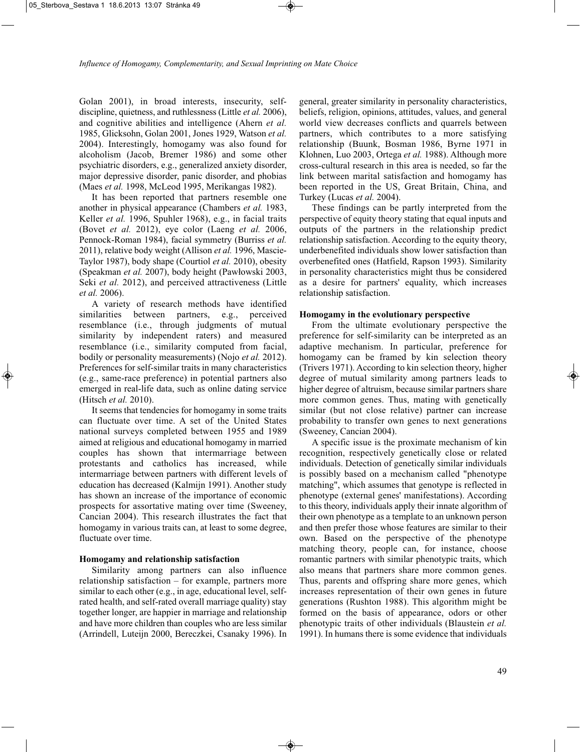Golan 2001), in broad interests, insecurity, selfdiscipline, quietness, and ruthlessness (Little *et al.* 2006), and cognitive abilities and intelligence (Ahern *et al.* 1985, Glicksohn, Golan 2001, Jones 1929, Watson *et al.* 2004). Interestingly, homogamy was also found for alcoholism (Jacob, Bremer 1986) and some other psychiatric disorders, e.g., generalized anxiety disorder, major depressive disorder, panic disorder, and phobias (Maes *et al.* 1998, McLeod 1995, Merikangas 1982).

It has been reported that partners resemble one another in physical appearance (Chambers *et al.* 1983, Keller *et al.* 1996, Spuhler 1968), e.g., in facial traits (Bovet *et al.* 2012), eye color (Laeng *et al.* 2006, Pennock-Roman 1984), facial symmetry (Burriss *et al.* 2011), relative body weight (Allison *et al.* 1996, Mascie-Taylor 1987), body shape (Courtiol *et al.* 2010), obesity (Speakman *et al.* 2007), body height (Pawłowski 2003, Seki *et al.* 2012), and perceived attractiveness (Little *et al.* 2006).

A variety of research methods have identified similarities between partners, e.g., perceived resemblance (i.e., through judgments of mutual similarity by independent raters) and measured resemblance (i.e., similarity computed from facial, bodily or personality measurements) (Nojo *et al.* 2012). Preferences for self-similar traits in many characteristics (e.g., same-race preference) in potential partners also emerged in real-life data, such as online dating service (Hitsch *et al.* 2010).

It seems that tendencies for homogamy in some traits can fluctuate over time. A set of the United States national surveys completed between 1955 and 1989 aimed at religious and educational homogamy in married couples has shown that intermarriage between protestants and catholics has increased, while intermarriage between partners with different levels of education has decreased (Kalmijn 1991). Another study has shown an increase of the importance of economic prospects for assortative mating over time (Sweeney, Cancian 2004). This research illustrates the fact that homogamy in various traits can, at least to some degree, fluctuate over time.

## **Homogamy and relationship satisfaction**

Similarity among partners can also influence relationship satisfaction – for example, partners more similar to each other (e.g., in age, educational level, selfrated health, and self-rated overall marriage quality) stay together longer, are happier in marriage and relationship and have more children than couples who are less similar (Arrindell, Luteijn 2000, Bereczkei, Csanaky 1996). In general, greater similarity in personality characteristics, beliefs, religion, opinions, attitudes, values, and general world view decreases conflicts and quarrels between partners, which contributes to a more satisfying relationship (Buunk, Bosman 1986, Byrne 1971 in Klohnen, Luo 2003, Ortega *et al.* 1988). Although more cross-cultural research in this area is needed, so far the link between marital satisfaction and homogamy has been reported in the US, Great Britain, China, and Turkey (Lucas *et al.* 2004).

These findings can be partly interpreted from the perspective of equity theory stating that equal inputs and outputs of the partners in the relationship predict relationship satisfaction. According to the equity theory, underbenefited individuals show lower satisfaction than overbenefited ones (Hatfield, Rapson 1993). Similarity in personality characteristics might thus be considered as a desire for partners' equality, which increases relationship satisfaction.

## **Homogamy in the evolutionary perspective**

From the ultimate evolutionary perspective the preference for self-similarity can be interpreted as an adaptive mechanism. In particular, preference for homogamy can be framed by kin selection theory (Trivers 1971). According to kin selection theory, higher degree of mutual similarity among partners leads to higher degree of altruism, because similar partners share more common genes. Thus, mating with genetically similar (but not close relative) partner can increase probability to transfer own genes to next generations (Sweeney, Cancian 2004).

A specific issue is the proximate mechanism of kin recognition, respectively genetically close or related individuals. Detection of genetically similar individuals is possibly based on a mechanism called "phenotype matching", which assumes that genotype is reflected in phenotype (external genes' manifestations). According to this theory, individuals apply their innate algorithm of their own phenotype as a template to an unknown person and then prefer those whose features are similar to their own. Based on the perspective of the phenotype matching theory, people can, for instance, choose romantic partners with similar phenotypic traits, which also means that partners share more common genes. Thus, parents and offspring share more genes, which increases representation of their own genes in future generations (Rushton 1988). This algorithm might be formed on the basis of appearance, odors or other phenotypic traits of other individuals (Blaustein *et al.* 1991). In humans there is some evidence that individuals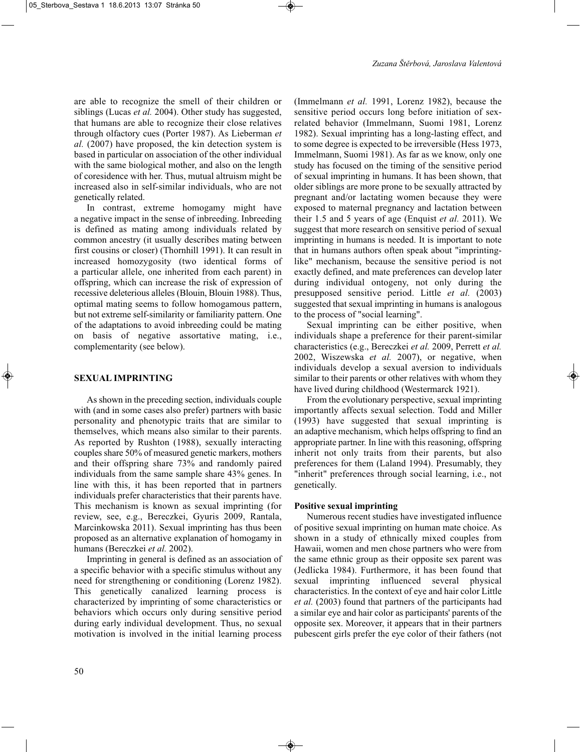are able to recognize the smell of their children or siblings (Lucas *et al.* 2004). Other study has suggested, that humans are able to recognize their close relatives through olfactory cues (Porter 1987). As Lieberman *et al.* (2007) have proposed, the kin detection system is based in particular on association of the other individual with the same biological mother, and also on the length of coresidence with her. Thus, mutual altruism might be increased also in self-similar individuals, who are not genetically related.

In contrast, extreme homogamy might have a negative impact in the sense of inbreeding. Inbreeding is defined as mating among individuals related by common ancestry (it usually describes mating between first cousins or closer) (Thornhill 1991). It can result in increased homozygosity (two identical forms of a particular allele, one inherited from each parent) in offspring, which can increase the risk of expression of recessive deleterious alleles (Blouin, Blouin 1988). Thus, optimal mating seems to follow homogamous pattern, but not extreme self-similarity or familiarity pattern. One of the adaptations to avoid inbreeding could be mating on basis of negative assortative mating, i.e., complementarity (see below).

## **SEXUAL IMPRINTING**

As shown in the preceding section, individuals couple with (and in some cases also prefer) partners with basic personality and phenotypic traits that are similar to themselves, which means also similar to their parents. As reported by Rushton (1988), sexually interacting couples share 50% of measured genetic markers, mothers and their offspring share 73% and randomly paired individuals from the same sample share 43% genes. In line with this, it has been reported that in partners individuals prefer characteristics that their parents have. This mechanism is known as sexual imprinting (for review, see, e.g., Bereczkei, Gyuris 2009, Rantala, Marcinkowska 2011). Sexual imprinting has thus been proposed as an alternative explanation of homogamy in humans (Bereczkei *et al.* 2002).

Imprinting in general is defined as an association of a specific behavior with a specific stimulus without any need for strengthening or conditioning (Lorenz 1982). This genetically canalized learning process is characterized by imprinting of some characteristics or behaviors which occurs only during sensitive period during early individual development. Thus, no sexual motivation is involved in the initial learning process

(Immelmann *et al.* 1991, Lorenz 1982), because the sensitive period occurs long before initiation of sexrelated behavior (Immelmann, Suomi 1981, Lorenz 1982). Sexual imprinting has a long-lasting effect, and to some degree is expected to be irreversible (Hess 1973, Immelmann, Suomi 1981). As far as we know, only one study has focused on the timing of the sensitive period of sexual imprinting in humans. It has been shown, that older siblings are more prone to be sexually attracted by pregnant and/or lactating women because they were exposed to maternal pregnancy and lactation between their 1.5 and 5 years of age (Enquist *et al.* 2011). We suggest that more research on sensitive period of sexual imprinting in humans is needed. It is important to note that in humans authors often speak about "imprintinglike" mechanism, because the sensitive period is not exactly defined, and mate preferences can develop later during individual ontogeny, not only during the presupposed sensitive period. Little *et al.* (2003) suggested that sexual imprinting in humans is analogous to the process of "social learning".

Sexual imprinting can be either positive, when individuals shape a preference for their parent-similar characteristics (e.g., Bereczkei *et al.* 2009, Perrett *et al.* 2002, Wiszewska *et al.* 2007), or negative, when individuals develop a sexual aversion to individuals similar to their parents or other relatives with whom they have lived during childhood (Westermarck 1921).

From the evolutionary perspective, sexual imprinting importantly affects sexual selection. Todd and Miller (1993) have suggested that sexual imprinting is an adaptive mechanism, which helps offspring to find an appropriate partner. In line with this reasoning, offspring inherit not only traits from their parents, but also preferences for them (Laland 1994). Presumably, they "inherit" preferences through social learning, i.e., not genetically.

#### **Positive sexual imprinting**

Numerous recent studies have investigated influence of positive sexual imprinting on human mate choice. As shown in a study of ethnically mixed couples from Hawaii, women and men chose partners who were from the same ethnic group as their opposite sex parent was (Jedlicka 1984). Furthermore, it has been found that sexual imprinting influenced several physical characteristics. In the context of eye and hair color Little *et al.* (2003) found that partners of the participants had a similar eye and hair color as participants' parents of the opposite sex. Moreover, it appears that in their partners pubescent girls prefer the eye color of their fathers (not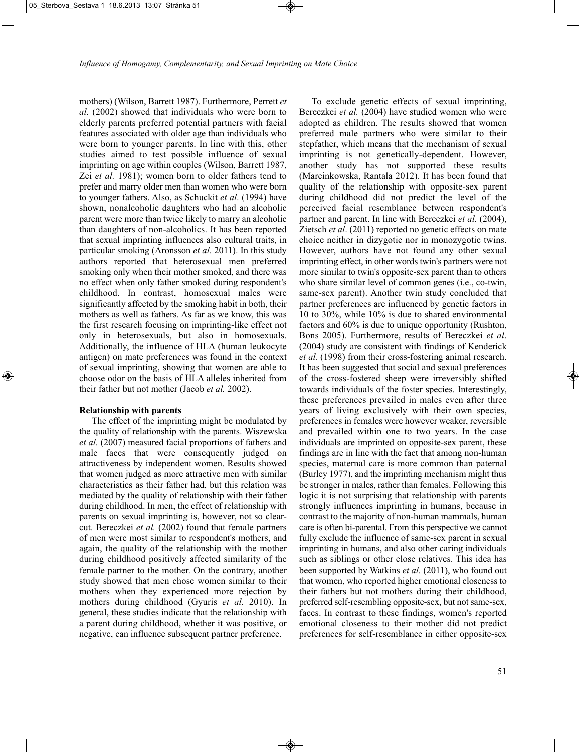mothers) (Wilson, Barrett 1987). Furthermore, Perrett *et al.* (2002) showed that individuals who were born to elderly parents preferred potential partners with facial features associated with older age than individuals who were born to younger parents. In line with this, other studies aimed to test possible influence of sexual imprinting on age within couples (Wilson, Barrett 1987, Zei *et al.* 1981); women born to older fathers tend to prefer and marry older men than women who were born to younger fathers. Also, as Schuckit *et al*. (1994) have shown, nonalcoholic daughters who had an alcoholic parent were more than twice likely to marry an alcoholic than daughters of non-alcoholics. It has been reported that sexual imprinting influences also cultural traits, in particular smoking (Aronsson *et al.* 2011). In this study authors reported that heterosexual men preferred smoking only when their mother smoked, and there was no effect when only father smoked during respondent's childhood. In contrast, homosexual males were significantly affected by the smoking habit in both, their mothers as well as fathers. As far as we know, this was the first research focusing on imprinting-like effect not only in heterosexuals, but also in homosexuals. Additionally, the influence of HLA (human leukocyte antigen) on mate preferences was found in the context of sexual imprinting, showing that women are able to choose odor on the basis of HLA alleles inherited from their father but not mother (Jacob *et al.* 2002).

#### **Relationship with parents**

The effect of the imprinting might be modulated by the quality of relationship with the parents. Wiszewska *et al.* (2007) measured facial proportions of fathers and male faces that were consequently judged on attractiveness by independent women. Results showed that women judged as more attractive men with similar characteristics as their father had, but this relation was mediated by the quality of relationship with their father during childhood. In men, the effect of relationship with parents on sexual imprinting is, however, not so clearcut. Bereczkei *et al.* (2002) found that female partners of men were most similar to respondent's mothers, and again, the quality of the relationship with the mother during childhood positively affected similarity of the female partner to the mother. On the contrary, another study showed that men chose women similar to their mothers when they experienced more rejection by mothers during childhood (Gyuris *et al.* 2010). In general, these studies indicate that the relationship with a parent during childhood, whether it was positive, or negative, can influence subsequent partner preference.

To exclude genetic effects of sexual imprinting, Bereczkei *et al.* (2004) have studied women who were adopted as children. The results showed that women preferred male partners who were similar to their stepfather, which means that the mechanism of sexual imprinting is not genetically-dependent. However, another study has not supported these results (Marcinkowska, Rantala 2012). It has been found that quality of the relationship with opposite-sex parent during childhood did not predict the level of the perceived facial resemblance between respondent's partner and parent. In line with Bereczkei *et al.* (2004), Zietsch *et al*. (2011) reported no genetic effects on mate choice neither in dizygotic nor in monozygotic twins. However, authors have not found any other sexual imprinting effect, in other words twin's partners were not more similar to twin's opposite-sex parent than to others who share similar level of common genes (i.e., co-twin, same-sex parent). Another twin study concluded that partner preferences are influenced by genetic factors in 10 to 30%, while 10% is due to shared environmental factors and 60% is due to unique opportunity (Rushton, Bons 2005). Furthermore, results of Bereczkei *et al*. (2004) study are consistent with findings of Kenderick *et al.* (1998) from their cross-fostering animal research. It has been suggested that social and sexual preferences of the cross-fostered sheep were irreversibly shifted towards individuals of the foster species. Interestingly, these preferences prevailed in males even after three years of living exclusively with their own species, preferences in females were however weaker, reversible and prevailed within one to two years. In the case individuals are imprinted on opposite-sex parent, these findings are in line with the fact that among non-human species, maternal care is more common than paternal (Burley 1977), and the imprinting mechanism might thus be stronger in males, rather than females. Following this logic it is not surprising that relationship with parents strongly influences imprinting in humans, because in contrast to the majority of non-human mammals, human care is often bi-parental. From this perspective we cannot fully exclude the influence of same-sex parent in sexual imprinting in humans, and also other caring individuals such as siblings or other close relatives. This idea has been supported by Watkins *et al.* (2011), who found out that women, who reported higher emotional closeness to their fathers but not mothers during their childhood, preferred self-resembling opposite-sex, but not same-sex, faces. In contrast to these findings, women's reported emotional closeness to their mother did not predict preferences for self-resemblance in either opposite-sex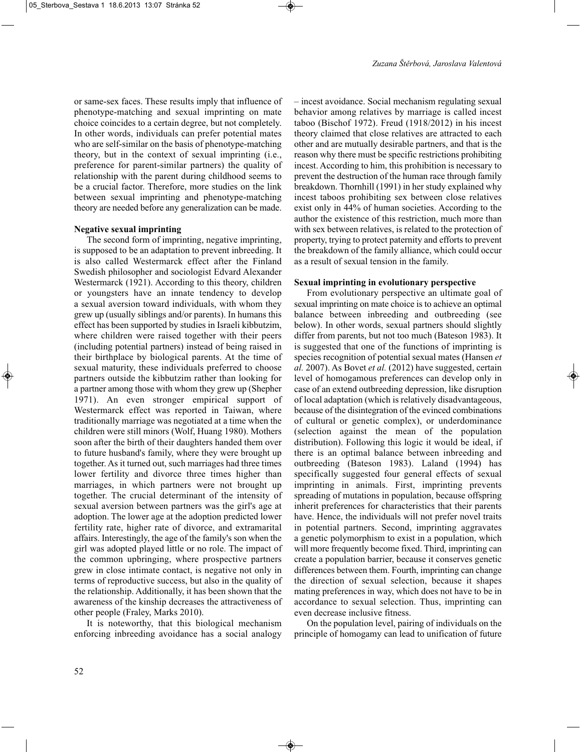or same-sex faces. These results imply that influence of phenotype-matching and sexual imprinting on mate choice coincides to a certain degree, but not completely. In other words, individuals can prefer potential mates who are self-similar on the basis of phenotype-matching theory, but in the context of sexual imprinting (i.e., preference for parent-similar partners) the quality of relationship with the parent during childhood seems to be a crucial factor. Therefore, more studies on the link between sexual imprinting and phenotype-matching theory are needed before any generalization can be made.

#### **Negative sexual imprinting**

The second form of imprinting, negative imprinting, is supposed to be an adaptation to prevent inbreeding. It is also called Westermarck effect after the Finland Swedish philosopher and sociologist Edvard Alexander Westermarck (1921). According to this theory, children or youngsters have an innate tendency to develop a sexual aversion toward individuals, with whom they grew up (usually siblings and/or parents). In humans this effect has been supported by studies in Israeli kibbutzim, where children were raised together with their peers (including potential partners) instead of being raised in their birthplace by biological parents. At the time of sexual maturity, these individuals preferred to choose partners outside the kibbutzim rather than looking for a partner among those with whom they grew up (Shepher 1971). An even stronger empirical support of Westermarck effect was reported in Taiwan, where traditionally marriage was negotiated at a time when the children were still minors (Wolf, Huang 1980). Mothers soon after the birth of their daughters handed them over to future husband's family, where they were brought up together. As it turned out, such marriages had three times lower fertility and divorce three times higher than marriages, in which partners were not brought up together. The crucial determinant of the intensity of sexual aversion between partners was the girl's age at adoption. The lower age at the adoption predicted lower fertility rate, higher rate of divorce, and extramarital affairs. Interestingly, the age of the family's son when the girl was adopted played little or no role. The impact of the common upbringing, where prospective partners grew in close intimate contact, is negative not only in terms of reproductive success, but also in the quality of the relationship. Additionally, it has been shown that the awareness of the kinship decreases the attractiveness of other people (Fraley, Marks 2010).

It is noteworthy, that this biological mechanism enforcing inbreeding avoidance has a social analogy – incest avoidance. Social mechanism regulating sexual behavior among relatives by marriage is called incest taboo (Bischof 1972). Freud (1918/2012) in his incest theory claimed that close relatives are attracted to each other and are mutually desirable partners, and that is the reason why there must be specific restrictions prohibiting incest. According to him, this prohibition is necessary to prevent the destruction of the human race through family breakdown. Thornhill (1991) in her study explained why incest taboos prohibiting sex between close relatives exist only in 44% of human societies. According to the author the existence of this restriction, much more than with sex between relatives, is related to the protection of property, trying to protect paternity and efforts to prevent the breakdown of the family alliance, which could occur as a result of sexual tension in the family.

#### **Sexual imprinting in evolutionary perspective**

From evolutionary perspective an ultimate goal of sexual imprinting on mate choice is to achieve an optimal balance between inbreeding and outbreeding (see below). In other words, sexual partners should slightly differ from parents, but not too much (Bateson 1983). It is suggested that one of the functions of imprinting is species recognition of potential sexual mates (Hansen *et al.* 2007). As Bovet *et al.* (2012) have suggested, certain level of homogamous preferences can develop only in case of an extend outbreeding depression, like disruption of local adaptation (which is relatively disadvantageous, because of the disintegration of the evinced combinations of cultural or genetic complex), or underdominance (selection against the mean of the population distribution). Following this logic it would be ideal, if there is an optimal balance between inbreeding and outbreeding (Bateson 1983). Laland (1994) has specifically suggested four general effects of sexual imprinting in animals. First, imprinting prevents spreading of mutations in population, because offspring inherit preferences for characteristics that their parents have. Hence, the individuals will not prefer novel traits in potential partners. Second, imprinting aggravates a genetic polymorphism to exist in a population, which will more frequently become fixed. Third, imprinting can create a population barrier, because it conserves genetic differences between them. Fourth, imprinting can change the direction of sexual selection, because it shapes mating preferences in way, which does not have to be in accordance to sexual selection. Thus, imprinting can even decrease inclusive fitness.

On the population level, pairing of individuals on the principle of homogamy can lead to unification of future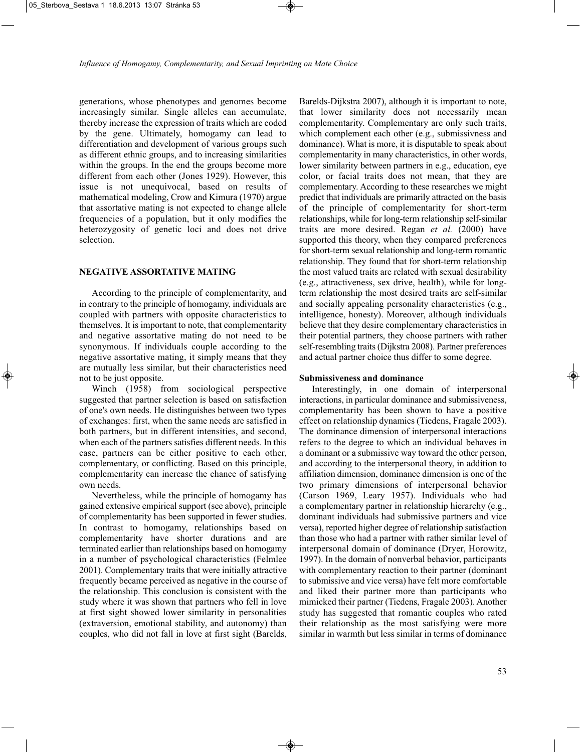generations, whose phenotypes and genomes become increasingly similar. Single alleles can accumulate, thereby increase the expression of traits which are coded by the gene. Ultimately, homogamy can lead to differentiation and development of various groups such as different ethnic groups, and to increasing similarities within the groups. In the end the groups become more different from each other (Jones 1929). However, this issue is not unequivocal, based on results of mathematical modeling, Crow and Kimura (1970) argue that assortative mating is not expected to change allele frequencies of a population, but it only modifies the heterozygosity of genetic loci and does not drive selection.

## **NEGATIVE ASSORTATIVE MATING**

According to the principle of complementarity, and in contrary to the principle of homogamy, individuals are coupled with partners with opposite characteristics to themselves. It is important to note, that complementarity and negative assortative mating do not need to be synonymous. If individuals couple according to the negative assortative mating, it simply means that they are mutually less similar, but their characteristics need not to be just opposite.

Winch (1958) from sociological perspective suggested that partner selection is based on satisfaction of one's own needs. He distinguishes between two types of exchanges: first, when the same needs are satisfied in both partners, but in different intensities, and second, when each of the partners satisfies different needs. In this case, partners can be either positive to each other, complementary, or conflicting. Based on this principle, complementarity can increase the chance of satisfying own needs.

Nevertheless, while the principle of homogamy has gained extensive empirical support (see above), principle of complementarity has been supported in fewer studies. In contrast to homogamy, relationships based on complementarity have shorter durations and are terminated earlier than relationships based on homogamy in a number of psychological characteristics (Felmlee 2001). Complementary traits that were initially attractive frequently became perceived as negative in the course of the relationship. This conclusion is consistent with the study where it was shown that partners who fell in love at first sight showed lower similarity in personalities (extraversion, emotional stability, and autonomy) than couples, who did not fall in love at first sight (Barelds,

Barelds-Dijkstra 2007), although it is important to note, that lower similarity does not necessarily mean complementarity. Complementary are only such traits, which complement each other (e.g., submissivness and dominance). What is more, it is disputable to speak about complementarity in many characteristics, in other words, lower similarity between partners in e.g., education, eye color, or facial traits does not mean, that they are complementary. According to these researches we might predict that individuals are primarily attracted on the basis of the principle of complementarity for short-term relationships, while for long-term relationship self-similar traits are more desired. Regan *et al.* (2000) have supported this theory, when they compared preferences for short-term sexual relationship and long-term romantic relationship. They found that for short-term relationship the most valued traits are related with sexual desirability (e.g., attractiveness, sex drive, health), while for longterm relationship the most desired traits are self-similar and socially appealing personality characteristics (e.g., intelligence, honesty). Moreover, although individuals believe that they desire complementary characteristics in their potential partners, they choose partners with rather self-resembling traits (Dijkstra 2008). Partner preferences and actual partner choice thus differ to some degree.

#### **Submissiveness and dominance**

Interestingly, in one domain of interpersonal interactions, in particular dominance and submissiveness, complementarity has been shown to have a positive effect on relationship dynamics (Tiedens, Fragale 2003). The dominance dimension of interpersonal interactions refers to the degree to which an individual behaves in a dominant or a submissive way toward the other person, and according to the interpersonal theory, in addition to affiliation dimension, dominance dimension is one of the two primary dimensions of interpersonal behavior (Carson 1969, Leary 1957). Individuals who had a complementary partner in relationship hierarchy (e.g., dominant individuals had submissive partners and vice versa), reported higher degree of relationship satisfaction than those who had a partner with rather similar level of interpersonal domain of dominance (Dryer, Horowitz, 1997). In the domain of nonverbal behavior, participants with complementary reaction to their partner (dominant to submissive and vice versa) have felt more comfortable and liked their partner more than participants who mimicked their partner (Tiedens, Fragale 2003). Another study has suggested that romantic couples who rated their relationship as the most satisfying were more similar in warmth but less similar in terms of dominance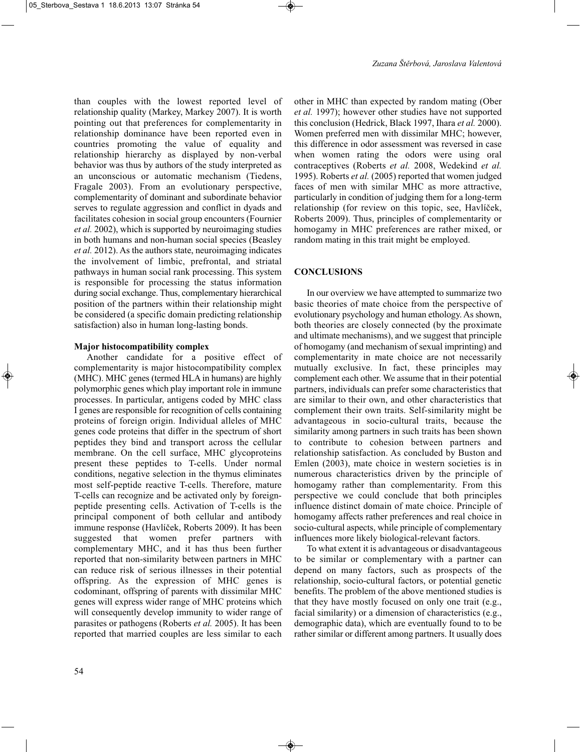than couples with the lowest reported level of relationship quality (Markey, Markey 2007). It is worth pointing out that preferences for complementarity in relationship dominance have been reported even in countries promoting the value of equality and relationship hierarchy as displayed by non-verbal behavior was thus by authors of the study interpreted as an unconscious or automatic mechanism (Tiedens, Fragale 2003). From an evolutionary perspective, complementarity of dominant and subordinate behavior serves to regulate aggression and conflict in dyads and facilitates cohesion in social group encounters (Fournier *et al.* 2002), which is supported by neuroimaging studies in both humans and non-human social species (Beasley *et al.* 2012). As the authors state, neuroimaging indicates the involvement of limbic, prefrontal, and striatal pathways in human social rank processing. This system is responsible for processing the status information during social exchange. Thus, complementary hierarchical position of the partners within their relationship might be considered (a specific domain predicting relationship satisfaction) also in human long-lasting bonds.

### **Major histocompatibility complex**

Another candidate for a positive effect of complementarity is major histocompatibility complex (MHC). MHC genes (termed HLA in humans) are highly polymorphic genes which play important role in immune processes. In particular, antigens coded by MHC class I genes are responsible for recognition of cells containing proteins of foreign origin. Individual alleles of MHC genes code proteins that differ in the spectrum of short peptides they bind and transport across the cellular membrane. On the cell surface, MHC glycoproteins present these peptides to T-cells. Under normal conditions, negative selection in the thymus eliminates most self-peptide reactive T-cells. Therefore, mature T-cells can recognize and be activated only by foreignpeptide presenting cells. Activation of T-cells is the principal component of both cellular and antibody immune response (Havlíček, Roberts 2009). It has been suggested that women prefer partners with complementary MHC, and it has thus been further reported that non-similarity between partners in MHC can reduce risk of serious illnesses in their potential offspring. As the expression of MHC genes is codominant, offspring of parents with dissimilar MHC genes will express wider range of MHC proteins which will consequently develop immunity to wider range of parasites or pathogens (Roberts *et al.* 2005). It has been reported that married couples are less similar to each

other in MHC than expected by random mating (Ober *et al.* 1997); however other studies have not supported this conclusion (Hedrick, Black 1997, Ihara *et al.* 2000). Women preferred men with dissimilar MHC; however, this difference in odor assessment was reversed in case when women rating the odors were using oral contraceptives (Roberts *et al.* 2008, Wedekind *et al.* 1995). Roberts *et al.* (2005) reported that women judged faces of men with similar MHC as more attractive, particularly in condition of judging them for a long-term relationship (for review on this topic, see, Havlíček, Roberts 2009). Thus, principles of complementarity or homogamy in MHC preferences are rather mixed, or random mating in this trait might be employed.

## **CONCLUSIONS**

In our overview we have attempted to summarize two basic theories of mate choice from the perspective of evolutionary psychology and human ethology. As shown, both theories are closely connected (by the proximate and ultimate mechanisms), and we suggest that principle of homogamy (and mechanism of sexual imprinting) and complementarity in mate choice are not necessarily mutually exclusive. In fact, these principles may complement each other. We assume that in their potential partners, individuals can prefer some characteristics that are similar to their own, and other characteristics that complement their own traits. Self-similarity might be advantageous in socio-cultural traits, because the similarity among partners in such traits has been shown to contribute to cohesion between partners and relationship satisfaction. As concluded by Buston and Emlen (2003), mate choice in western societies is in numerous characteristics driven by the principle of homogamy rather than complementarity. From this perspective we could conclude that both principles influence distinct domain of mate choice. Principle of homogamy affects rather preferences and real choice in socio-cultural aspects, while principle of complementary influences more likely biological-relevant factors.

To what extent it is advantageous or disadvantageous to be similar or complementary with a partner can depend on many factors, such as prospects of the relationship, socio-cultural factors, or potential genetic benefits. The problem of the above mentioned studies is that they have mostly focused on only one trait (e.g., facial similarity) or a dimension of characteristics (e.g., demographic data), which are eventually found to to be rather similar or different among partners. It usually does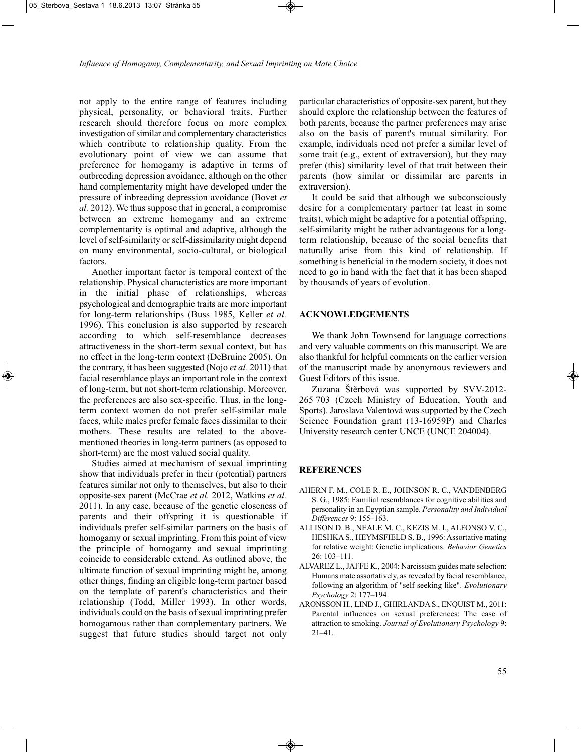not apply to the entire range of features including physical, personality, or behavioral traits. Further research should therefore focus on more complex investigation of similar and complementary characteristics which contribute to relationship quality. From the evolutionary point of view we can assume that preference for homogamy is adaptive in terms of outbreeding depression avoidance, although on the other hand complementarity might have developed under the pressure of inbreeding depression avoidance (Bovet *et al.* 2012). We thus suppose that in general, a compromise between an extreme homogamy and an extreme complementarity is optimal and adaptive, although the level of self-similarity or self-dissimilarity might depend on many environmental, socio-cultural, or biological factors.

Another important factor is temporal context of the relationship. Physical characteristics are more important in the initial phase of relationships, whereas psychological and demographic traits are more important for long-term relationships (Buss 1985, Keller *et al.* 1996). This conclusion is also supported by research according to which self-resemblance decreases attractiveness in the short-term sexual context, but has no effect in the long-term context (DeBruine 2005). On the contrary, it has been suggested (Nojo *et al.* 2011) that facial resemblance plays an important role in the context of long-term, but not short-term relationship. Moreover, the preferences are also sex-specific. Thus, in the longterm context women do not prefer self-similar male faces, while males prefer female faces dissimilar to their mothers. These results are related to the abovementioned theories in long-term partners (as opposed to short-term) are the most valued social quality.

Studies aimed at mechanism of sexual imprinting show that individuals prefer in their (potential) partners features similar not only to themselves, but also to their opposite-sex parent (McCrae *et al.* 2012, Watkins *et al.* 2011). In any case, because of the genetic closeness of parents and their offspring it is questionable if individuals prefer self-similar partners on the basis of homogamy or sexual imprinting. From this point of view the principle of homogamy and sexual imprinting coincide to considerable extend. As outlined above, the ultimate function of sexual imprinting might be, among other things, finding an eligible long-term partner based on the template of parent's characteristics and their relationship (Todd, Miller 1993). In other words, individuals could on the basis of sexual imprinting prefer homogamous rather than complementary partners. We suggest that future studies should target not only

particular characteristics of opposite-sex parent, but they should explore the relationship between the features of both parents, because the partner preferences may arise also on the basis of parent's mutual similarity. For example, individuals need not prefer a similar level of some trait (e.g., extent of extraversion), but they may prefer (this) similarity level of that trait between their parents (how similar or dissimilar are parents in extraversion).

It could be said that although we subconsciously desire for a complementary partner (at least in some traits), which might be adaptive for a potential offspring, self-similarity might be rather advantageous for a longterm relationship, because of the social benefits that naturally arise from this kind of relationship. If something is beneficial in the modern society, it does not need to go in hand with the fact that it has been shaped by thousands of years of evolution.

#### **ACKNOWLEDGEMENTS**

We thank John Townsend for language corrections and very valuable comments on this manuscript. We are also thankful for helpful comments on the earlier version of the manuscript made by anonymous reviewers and Guest Editors of this issue.

Zuzana Štěrbová was supported by SVV-2012- 265 703 (Czech Ministry of Education, Youth and Sports). Jaroslava Valentová was supported by the Czech Science Foundation grant (13-16959P) and Charles University research center UNCE (UNCE 204004).

### **REFERENCES**

- AHERN F. M., COLE R. E., JOHNSON R. C., VANDENBERG S. G., 1985: Familial resemblances for cognitive abilities and personality in an Egyptian sample. *Personality and Individual Differences* 9: 155–163.
- ALLISON D. B., NEALE M. C., KEZIS M. I., ALFONSO V. C., HESHKA S., HEYMSFIELD S. B., 1996: Assortative mating for relative weight: Genetic implications. *Behavior Genetics*  $26 \cdot 103 - 111$
- ALVAREZ L., JAFFE K., 2004: Narcissism guides mate selection: Humans mate assortatively, as revealed by facial resemblance, following an algorithm of "self seeking like". *Evolutionary Psychology* 2: 177–194.
- ARONSSON H., LIND J., GHIRLANDA S., ENQUIST M., 2011: Parental influences on sexual preferences: The case of attraction to smoking. *Journal of Evolutionary Psychology* 9: 21–41.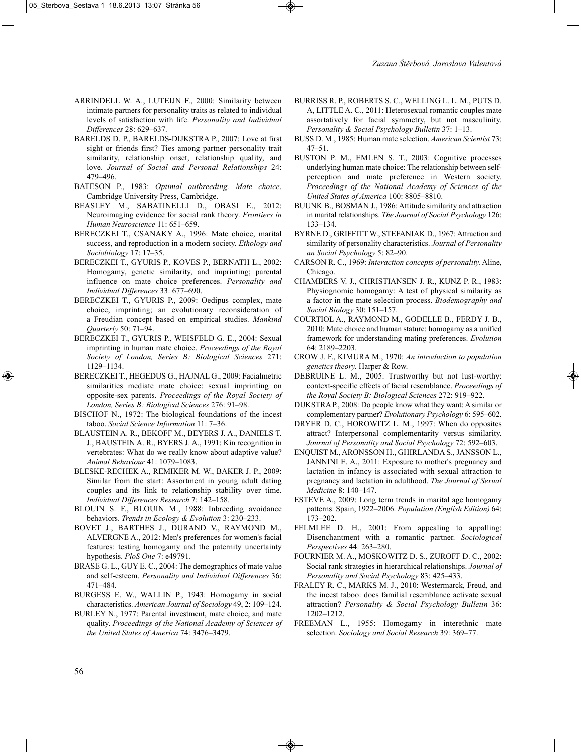- ARRINDELL W. A., LUTEIJN F., 2000: Similarity between intimate partners for personality traits as related to individual levels of satisfaction with life. *Personality and Individual Differences* 28: 629–637.
- BARELDS D. P., BARELDS-DIJKSTRA P., 2007: Love at first sight or friends first? Ties among partner personality trait similarity, relationship onset, relationship quality, and love. *Journal of Social and Personal Relationships* 24: 479–496.
- BATESON P., 1983: *Optimal outbreeding. Mate choice*. Cambridge University Press, Cambridge.
- BEASLEY M., SABATINELLI D., OBASI E., 2012: Neuroimaging evidence for social rank theory. *Frontiers in Human Neuroscience* 11: 651–659.
- BERECZKEI T., CSANAKY A., 1996: Mate choice, marital success, and reproduction in a modern society. *Ethology and Sociobiology* 17: 17–35.
- BERECZKEI T., GYURIS P., KOVES P., BERNATH L., 2002: Homogamy, genetic similarity, and imprinting; parental influence on mate choice preferences. *Personality and Individual Differences* 33: 677–690.
- BERECZKEI T., GYURIS P., 2009: Oedipus complex, mate choice, imprinting; an evolutionary reconsideration of a Freudian concept based on empirical studies. *Mankind Quarterly* 50: 71–94.
- BERECZKEI T., GYURIS P., WEISFELD G. E., 2004: Sexual imprinting in human mate choice. *Proceedings of the Royal Society of London, Series B: Biological Sciences* 271: 1129–1134.
- BERECZKEI T., HEGEDUS G., HAJNAL G., 2009: Facialmetric similarities mediate mate choice: sexual imprinting on opposite-sex parents. *Proceedings of the Royal Society of London, Series B: Biological Sciences* 276: 91–98.
- BISCHOF N., 1972: The biological foundations of the incest taboo. *Social Science Information* 11: 7–36.
- BLAUSTEIN A. R., BEKOFF M., BEYERS J. A., DANIELS T. J., BAUSTEIN A. R., BYERS J. A., 1991: Kin recognition in vertebrates: What do we really know about adaptive value? *Animal Behaviour* 41: 1079–1083.
- BLESKE-RECHEK A., REMIKER M. W., BAKER J. P., 2009: Similar from the start: Assortment in young adult dating couples and its link to relationship stability over time. *Individual Differences Research* 7: 142–158.
- BLOUIN S. F., BLOUIN M., 1988: Inbreeding avoidance behaviors. *Trends in Ecology & Evolution* 3: 230–233.
- BOVET J., BARTHES J., DURAND V., RAYMOND M., ALVERGNE A., 2012: Men's preferences for women's facial features: testing homogamy and the paternity uncertainty hypothesis. *PloS One* 7: e49791.
- BRASE G. L., GUY E. C., 2004: The demographics of mate value and self-esteem. *Personality and Individual Differences* 36: 471–484.
- BURGESS E. W., WALLIN P., 1943: Homogamy in social characteristics. *American Journal of Sociology* 49, 2: 109–124.
- BURLEY N., 1977: Parental investment, mate choice, and mate quality. *Proceedings of the National Academy of Sciences of the United States of America* 74: 3476–3479.
- BURRISS R. P., ROBERTS S. C., WELLING L. L. M., PUTS D. A, LITTLE A. C., 2011: Heterosexual romantic couples mate assortatively for facial symmetry, but not masculinity. *Personality & Social Psychology Bulletin* 37: 1–13.
- BUSS D. M., 1985: Human mate selection. *American Scientist* 73: 47–51.
- BUSTON P. M., EMLEN S. T., 2003: Cognitive processes underlying human mate choice: The relationship between selfperception and mate preference in Western society. *Proceedings of the National Academy of Sciences of the United States of America* 100: 8805–8810.
- BUUNK B., BOSMAN J., 1986: Attitude similarity and attraction in marital relationships. *The Journal of Social Psychology* 126: 133–134.
- BYRNE D., GRIFFITT W., STEFANIAK D., 1967: Attraction and similarity of personality characteristics. *Journal of Personality an Social Psychology* 5: 82–90.
- CARSON R. C., 1969: *Interaction concepts of personality.* Aline, Chicago.
- CHAMBERS V. J., CHRISTIANSEN J. R., KUNZ P. R., 1983: Physiognomic homogamy: A test of physical similarity as a factor in the mate selection process. *Biodemography and Social Biology* 30: 151–157.
- COURTIOL A., RAYMOND M., GODELLE B., FERDY J. B., 2010: Mate choice and human stature: homogamy as a unified framework for understanding mating preferences. *Evolution* 64: 2189–2203.
- CROW J. F., KIMURA M., 1970: *An introduction to population genetics theory.* Harper & Row.
- DEBRUINE L. M., 2005: Trustworthy but not lust-worthy: context-specific effects of facial resemblance. *Proceedings of the Royal Society B: Biological Sciences* 272: 919–922.
- DIJKSTRA P., 2008: Do people know what they want: A similar or complementary partner? *Evolutionary Psychology* 6: 595–602.
- DRYER D. C., HOROWITZ L. M., 1997: When do opposites attract? Interpersonal complementarity versus similarity. *Journal of Personality and Social Psychology* 72: 592–603.
- ENQUIST M., ARONSSON H., GHIRLANDA S., JANSSON L., JANNINI E. A., 2011: Exposure to mother's pregnancy and lactation in infancy is associated with sexual attraction to pregnancy and lactation in adulthood. *The Journal of Sexual Medicine* 8: 140–147.
- ESTEVE A., 2009: Long term trends in marital age homogamy patterns: Spain, 1922–2006. *Population (English Edition)* 64: 173–202.
- FELMLEE D. H., 2001: From appealing to appalling: Disenchantment with a romantic partner. *Sociological Perspectives* 44: 263–280.
- FOURNIER M. A., MOSKOWITZ D. S., ZUROFF D. C., 2002: Social rank strategies in hierarchical relationships. *Journal of Personality and Social Psychology* 83: 425–433.
- FRALEY R. C., MARKS M. J., 2010: Westermarck, Freud, and the incest taboo: does familial resemblance activate sexual attraction? *Personality & Social Psychology Bulletin* 36: 1202–1212.
- FREEMAN L., 1955: Homogamy in interethnic mate selection. *Sociology and Social Research* 39: 369–77.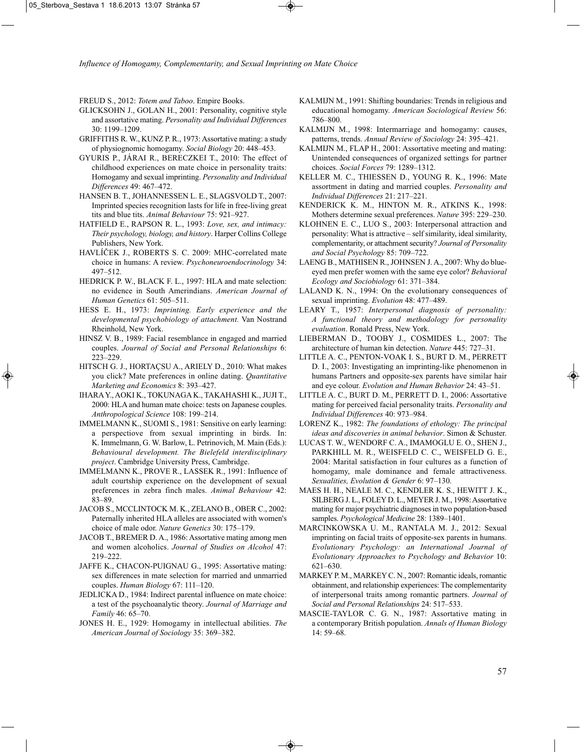FREUD S., 2012: *Totem and Taboo*. Empire Books.

- GLICKSOHN J., GOLAN H., 2001: Personality, cognitive style and assortative mating. *Personality and Individual Differences* 30: 1199–1209.
- GRIFFITHS R. W., KUNZ P. R., 1973: Assortative mating: a study of physiognomic homogamy. *Social Biology* 20: 448–453.
- GYURIS P., JÁRAI R., BERECZKEI T., 2010: The effect of childhood experiences on mate choice in personality traits: Homogamy and sexual imprinting. *Personality and Individual Differences* 49: 467–472.
- HANSEN B. T., JOHANNESSEN L. E., SLAGSVOLD T., 2007: Imprinted species recognition lasts for life in free-living great tits and blue tits. *Animal Behaviour* 75: 921–927.
- HATFIELD E., RAPSON R. L., 1993: *Love, sex, and intimacy: Their psychology, biology, and history*. Harper Collins College Publishers, New York.
- HAVLÍČEK J., ROBERTS S. C. 2009: MHC-correlated mate choice in humans: A review. *Psychoneuroendocrinology* 34: 497–512.
- HEDRICK P. W., BLACK F. L., 1997: HLA and mate selection: no evidence in South Amerindians. *American Journal of Human Genetics* 61: 505–511.
- HESS E. H., 1973: *Imprinting. Early experience and the developmental psychobiology of attachment.* Van Nostrand Rheinhold, New York.
- HINSZ V. B., 1989: Facial resemblance in engaged and married couples. *Journal of Social and Personal Relationships* 6: 223–229.
- HITSCH G. J., HORTAÇSU A., ARIELY D., 2010: What makes you click? Mate preferences in online dating. *Quantitative Marketing and Economics* 8: 393–427.
- IHARA Y., AOKI K., TOKUNAGA K., TAKAHASHI K., JUJI T., 2000: HLA and human mate choice: tests on Japanese couples. *Anthropological Science* 108: 199–214.
- IMMELMANN K., SUOMI S., 1981: Sensitive on early learning: a perspectiove from sexual imprinting in birds. In: K. Immelmann, G. W. Barlow, L. Petrinovich, M. Main (Eds.): *Behavioural development. The Bielefeld interdisciplinary project*. Cambridge University Press, Cambridge.
- IMMELMANN K., PROVE R., LASSEK R., 1991: Influence of adult courtship experience on the development of sexual preferences in zebra finch males. *Animal Behaviour* 42: 83–89.
- JACOB S., MCCLINTOCK M. K., ZELANO B., OBER C., 2002: Paternally inherited HLA alleles are associated with women's choice of male odor. *Nature Genetics* 30: 175–179.
- JACOB T., BREMER D. A., 1986: Assortative mating among men and women alcoholics. *Journal of Studies on Alcohol* 47: 219–222.
- JAFFE K., CHACON-PUIGNAU G., 1995: Assortative mating: sex differences in mate selection for married and unmarried couples. *Human Biology* 67: 111–120.
- JEDLICKA D., 1984: Indirect parental influence on mate choice: a test of the psychoanalytic theory. *Journal of Marriage and Family* 46: 65–70.
- JONES H. E., 1929: Homogamy in intellectual abilities. *The American Journal of Sociology* 35: 369–382.
- KALMIJN M., 1991: Shifting boundaries: Trends in religious and educational homogamy. *American Sociological Review* 56: 786–800.
- KALMIJN M., 1998: Intermarriage and homogamy: causes, patterns, trends. *Annual Review of Sociology* 24: 395–421.
- KALMIJN M., FLAP H., 2001: Assortative meeting and mating: Unintended consequences of organized settings for partner choices. *Social Forces* 79: 1289–1312.
- KELLER M. C., THIESSEN D., YOUNG R. K., 1996: Mate assortment in dating and married couples. *Personality and Individual Differences* 21: 217–221.
- KENDERICK K. M., HINTON M. R., ATKINS K., 1998: Mothers determine sexual preferences. *Nature* 395: 229–230.
- KLOHNEN E. C., LUO S., 2003: Interpersonal attraction and personality: What is attractive – self similarity, ideal similarity, complementarity, or attachment security? *Journal of Personality and Social Psychology* 85: 709–722.
- LAENG B., MATHISEN R., JOHNSEN J. A., 2007: Why do blueeyed men prefer women with the same eye color? *Behavioral Ecology and Sociobiology* 61: 371–384.
- LALAND K. N., 1994: On the evolutionary consequences of sexual imprinting. *Evolution* 48: 477–489.
- LEARY T., 1957: *Interpersonal diagnosis of personality: A functional theory and methodology for personality evaluation*. Ronald Press, New York.
- LIEBERMAN D., TOOBY J., COSMIDES L., 2007: The architecture of human kin detection. *Nature* 445: 727–31.
- LITTLE A. C., PENTON-VOAK I. S., BURT D. M., PERRETT D. I., 2003: Investigating an imprinting-like phenomenon in humans Partners and opposite-sex parents have similar hair and eye colour. *Evolution and Human Behavior* 24: 43–51.
- LITTLE A. C., BURT D. M., PERRETT D. I., 2006: Assortative mating for perceived facial personality traits. *Personality and Individual Differences* 40: 973–984.
- LORENZ K., 1982: *The foundations of ethology: The principal ideas and discoveries in animal behavior*. Simon & Schuster.
- LUCAS T. W., WENDORF C. A., IMAMOGLU E. O., SHEN J., PARKHILL M. R., WEISFELD C. C., WEISFELD G. E., 2004: Marital satisfaction in four cultures as a function of homogamy, male dominance and female attractiveness. *Sexualities, Evolution & Gender* 6: 97–130.
- MAES H. H., NEALE M. C., KENDLER K. S., HEWITT J. K., SILBERG J. L., FOLEY D. L., MEYER J. M., 1998: Assortative mating for major psychiatric diagnoses in two population-based samples. *Psychological Medicine* 28: 1389–1401.
- MARCINKOWSKA U. M., RANTALA M. J., 2012: Sexual imprinting on facial traits of opposite-sex parents in humans. *Evolutionary Psychology: an International Journal of Evolutionary Approaches to Psychology and Behavior* 10: 621–630.
- MARKEY P. M., MARKEY C. N., 2007: Romantic ideals, romantic obtainment, and relationship experiences: The complementarity of interpersonal traits among romantic partners. *Journal of Social and Personal Relationships* 24: 517–533.
- MASCIE-TAYLOR C. G. N., 1987: Assortative mating in a contemporary British population. *Annals of Human Biology* 14: 59–68.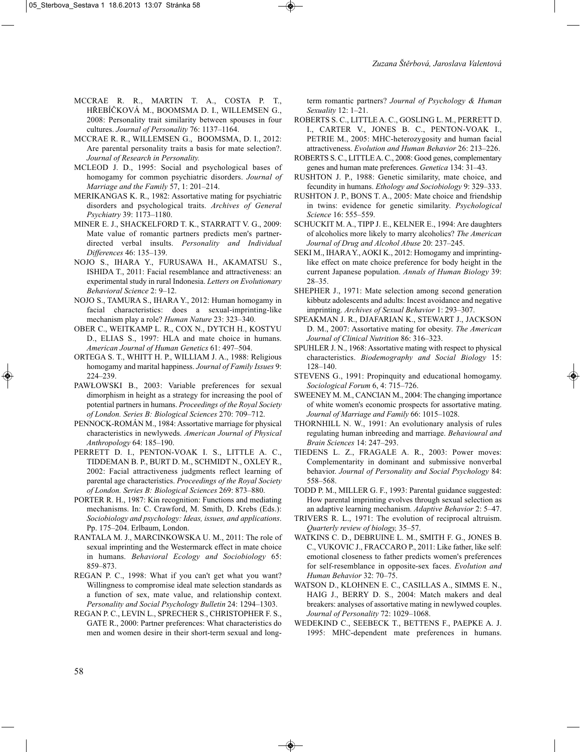- MCCRAE R. R., MARTIN T. A., COSTA P. T., HŘEBÍČKOVÁ M., BOOMSMA D. I., WILLEMSEN G., 2008: Personality trait similarity between spouses in four cultures. *Journal of Personality* 76: 1137–1164.
- MCCRAE R. R., WILLEMSEN G., BOOMSMA, D. I., 2012: Are parental personality traits a basis for mate selection?. *Journal of Research in Personality.*
- MCLEOD J. D., 1995: Social and psychological bases of homogamy for common psychiatric disorders. *Journal of Marriage and the Family* 57, 1: 201–214.
- MERIKANGAS K. R., 1982: Assortative mating for psychiatric disorders and psychological traits. *Archives of General Psychiatry* 39: 1173–1180.
- MINER E. J., SHACKELFORD T. K., STARRATT V. G., 2009: Mate value of romantic partners predicts men's partnerdirected verbal insults. *Personality and Individual Differences* 46: 135–139.
- NOJO S., IHARA Y., FURUSAWA H., AKAMATSU S., ISHIDA T., 2011: Facial resemblance and attractiveness: an experimental study in rural Indonesia. *Letters on Evolutionary Behavioral Science* 2: 9–12.
- NOJO S., TAMURA S., IHARA Y., 2012: Human homogamy in facial characteristics: does a sexual-imprinting-like mechanism play a role? *Human Nature* 23: 323–340.
- OBER C., WEITKAMP L. R., COX N., DYTCH H., KOSTYU D., ELIAS S., 1997: HLA and mate choice in humans. *American Journal of Human Genetics* 61: 497–504.
- ORTEGA S. T., WHITT H. P., WILLIAM J. A., 1988: Religious homogamy and marital happiness. *Journal of Family Issues* 9: 224–239.
- PAWŁOWSKI B., 2003: Variable preferences for sexual dimorphism in height as a strategy for increasing the pool of potential partners in humans. *Proceedings of the Royal Society of London. Series B: Biological Sciences* 270: 709–712.
- PENNOCK-ROMÁN M., 1984: Assortative marriage for physical characteristics in newlyweds. *American Journal of Physical Anthropology* 64: 185–190.
- PERRETT D. I., PENTON-VOAK I. S., LITTLE A. C., TIDDEMAN B. P., BURT D. M., SCHMIDT N., OXLEY R., 2002: Facial attractiveness judgments reflect learning of parental age characteristics. *Proceedings of the Royal Society of London. Series B: Biological Sciences* 269: 873–880.
- PORTER R. H., 1987: Kin recognition: Functions and mediating mechanisms. In: C. Crawford, M. Smith, D. Krebs (Eds.): *Sociobiology and psychology: Ideas, issues, and applications*. Pp. 175–204. Erlbaum, London.
- RANTALA M. J., MARCINKOWSKA U. M., 2011: The role of sexual imprinting and the Westermarck effect in mate choice in humans. *Behavioral Ecology and Sociobiology* 65: 859–873.
- REGAN P. C., 1998: What if you can't get what you want? Willingness to compromise ideal mate selection standards as a function of sex, mate value, and relationship context. *Personality and Social Psychology Bulletin* 24: 1294–1303.
- REGAN P. C., LEVIN L., SPRECHER S., CHRISTOPHER F. S., GATE R., 2000: Partner preferences: What characteristics do men and women desire in their short-term sexual and long-

term romantic partners? *Journal of Psychology & Human Sexuality* 12: 1–21.

- ROBERTS S. C., LITTLE A. C., GOSLING L. M., PERRETT D. I., CARTER V., JONES B. C., PENTON-VOAK I., PETRIE M., 2005: MHC-heterozygosity and human facial attractiveness. *Evolution and Human Behavior* 26: 213–226.
- ROBERTS S. C., LITTLE A. C., 2008: Good genes, complementary genes and human mate preferences. *Genetica* 134: 31–43.
- RUSHTON J. P., 1988: Genetic similarity, mate choice, and fecundity in humans. *Ethology and Sociobiology* 9: 329–333.
- RUSHTON J. P., BONS T. A., 2005: Mate choice and friendship in twins: evidence for genetic similarity. *Psychological Science* 16: 555–559.
- SCHUCKIT M. A., TIPP J. E., KELNER E., 1994: Are daughters of alcoholics more likely to marry alcoholics? *The American Journal of Drug and Alcohol Abuse* 20: 237–245.
- SEKI M., IHARA Y., AOKI K., 2012: Homogamy and imprintinglike effect on mate choice preference for body height in the current Japanese population. *Annals of Human Biology* 39: 28–35.
- SHEPHER J., 1971: Mate selection among second generation kibbutz adolescents and adults: Incest avoidance and negative imprinting. *Archives of Sexual Behavior* 1: 293–307.
- SPEAKMAN J. R., DJAFARIAN K., STEWART J., JACKSON D. M., 2007: Assortative mating for obesity. *The American Journal of Clinical Nutrition* 86: 316–323.
- SPUHLER J. N., 1968: Assortative mating with respect to physical characteristics. *Biodemography and Social Biology* 15: 128–140.
- STEVENS G., 1991: Propinquity and educational homogamy. *Sociological Forum* 6, 4: 715–726.
- SWEENEY M. M., CANCIAN M., 2004: The changing importance of white women's economic prospects for assortative mating. *Journal of Marriage and Family* 66: 1015–1028.
- THORNHILL N. W., 1991: An evolutionary analysis of rules regulating human inbreeding and marriage. *Behavioural and Brain Sciences* 14: 247–293.
- TIEDENS L. Z., FRAGALE A. R., 2003: Power moves: Complementarity in dominant and submissive nonverbal behavior. *Journal of Personality and Social Psychology* 84: 558–568.
- TODD P. M., MILLER G. F., 1993: Parental guidance suggested: How parental imprinting evolves through sexual selection as an adaptive learning mechanism. *Adaptive Behavior* 2: 5–47.
- TRIVERS R. L., 1971: The evolution of reciprocal altruism. *Quarterly review of biology,* 35–57.
- WATKINS C. D., DEBRUINE L. M., SMITH F. G., JONES B. C., VUKOVIC J., FRACCARO P., 2011: Like father, like self: emotional closeness to father predicts women's preferences for self-resemblance in opposite-sex faces. *Evolution and Human Behavior* 32: 70–75.
- WATSON D., KLOHNEN E. C., CASILLAS A., SIMMS E. N., HAIG J., BERRY D. S., 2004: Match makers and deal breakers: analyses of assortative mating in newlywed couples. *Journal of Personality* 72: 1029–1068.
- WEDEKIND C., SEEBECK T., BETTENS F., PAEPKE A. J. 1995: MHC-dependent mate preferences in humans.